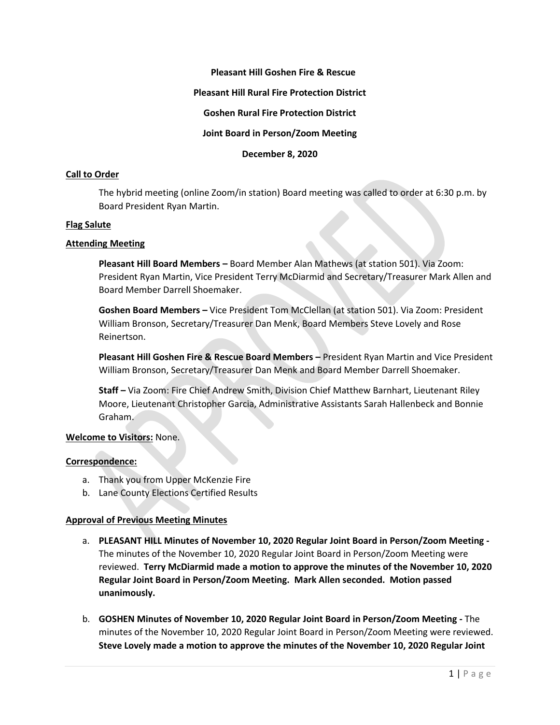# **Pleasant Hill Goshen Fire & Rescue**

### **Pleasant Hill Rural Fire Protection District**

## **Goshen Rural Fire Protection District**

# **Joint Board in Person/Zoom Meeting**

**December 8, 2020**

### **Call to Order**

The hybrid meeting (online Zoom/in station) Board meeting was called to order at 6:30 p.m. by Board President Ryan Martin.

### **Flag Salute**

### **Attending Meeting**

**Pleasant Hill Board Members –** Board Member Alan Mathews (at station 501). Via Zoom: President Ryan Martin, Vice President Terry McDiarmid and Secretary/Treasurer Mark Allen and Board Member Darrell Shoemaker.

**Goshen Board Members –** Vice President Tom McClellan (at station 501). Via Zoom: President William Bronson, Secretary/Treasurer Dan Menk, Board Members Steve Lovely and Rose Reinertson.

**Pleasant Hill Goshen Fire & Rescue Board Members –** President Ryan Martin and Vice President William Bronson, Secretary/Treasurer Dan Menk and Board Member Darrell Shoemaker.

**Staff –** Via Zoom: Fire Chief Andrew Smith, Division Chief Matthew Barnhart, Lieutenant Riley Moore, Lieutenant Christopher Garcia, Administrative Assistants Sarah Hallenbeck and Bonnie Graham.

### **Welcome to Visitors:** None.

#### **Correspondence:**

- a. Thank you from Upper McKenzie Fire
- b. Lane County Elections Certified Results

#### **Approval of Previous Meeting Minutes**

- a. **PLEASANT HILL Minutes of November 10, 2020 Regular Joint Board in Person/Zoom Meeting -** The minutes of the November 10, 2020 Regular Joint Board in Person/Zoom Meeting were reviewed. **Terry McDiarmid made a motion to approve the minutes of the November 10, 2020 Regular Joint Board in Person/Zoom Meeting. Mark Allen seconded. Motion passed unanimously.**
- b. **GOSHEN Minutes of November 10, 2020 Regular Joint Board in Person/Zoom Meeting -** The minutes of the November 10, 2020 Regular Joint Board in Person/Zoom Meeting were reviewed. **Steve Lovely made a motion to approve the minutes of the November 10, 2020 Regular Joint**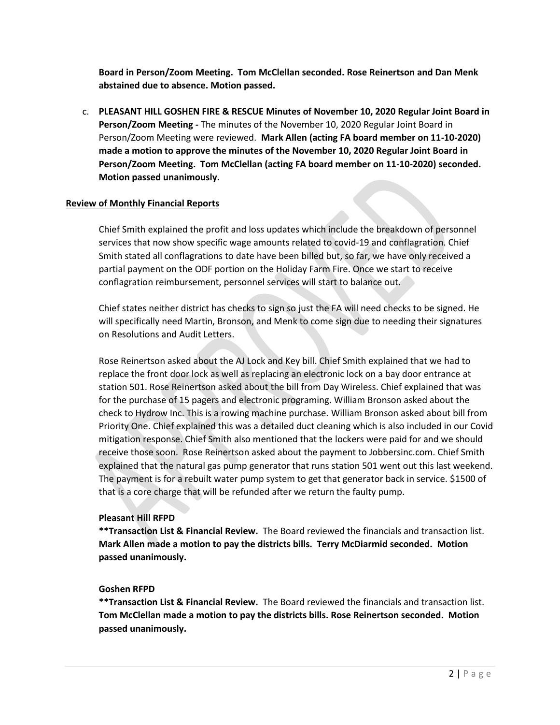**Board in Person/Zoom Meeting. Tom McClellan seconded. Rose Reinertson and Dan Menk abstained due to absence. Motion passed.**

c. **PLEASANT HILL GOSHEN FIRE & RESCUE Minutes of November 10, 2020 Regular Joint Board in Person/Zoom Meeting -** The minutes of the November 10, 2020 Regular Joint Board in Person/Zoom Meeting were reviewed. **Mark Allen (acting FA board member on 11-10-2020) made a motion to approve the minutes of the November 10, 2020 Regular Joint Board in Person/Zoom Meeting. Tom McClellan (acting FA board member on 11-10-2020) seconded. Motion passed unanimously.**

# **Review of Monthly Financial Reports**

Chief Smith explained the profit and loss updates which include the breakdown of personnel services that now show specific wage amounts related to covid-19 and conflagration. Chief Smith stated all conflagrations to date have been billed but, so far, we have only received a partial payment on the ODF portion on the Holiday Farm Fire. Once we start to receive conflagration reimbursement, personnel services will start to balance out.

Chief states neither district has checks to sign so just the FA will need checks to be signed. He will specifically need Martin, Bronson, and Menk to come sign due to needing their signatures on Resolutions and Audit Letters.

Rose Reinertson asked about the AJ Lock and Key bill. Chief Smith explained that we had to replace the front door lock as well as replacing an electronic lock on a bay door entrance at station 501. Rose Reinertson asked about the bill from Day Wireless. Chief explained that was for the purchase of 15 pagers and electronic programing. William Bronson asked about the check to Hydrow Inc. This is a rowing machine purchase. William Bronson asked about bill from Priority One. Chief explained this was a detailed duct cleaning which is also included in our Covid mitigation response. Chief Smith also mentioned that the lockers were paid for and we should receive those soon. Rose Reinertson asked about the payment to Jobbersinc.com. Chief Smith explained that the natural gas pump generator that runs station 501 went out this last weekend. The payment is for a rebuilt water pump system to get that generator back in service. \$1500 of that is a core charge that will be refunded after we return the faulty pump.

#### **Pleasant Hill RFPD**

**\*\*Transaction List & Financial Review.** The Board reviewed the financials and transaction list. **Mark Allen made a motion to pay the districts bills. Terry McDiarmid seconded. Motion passed unanimously.**

# **Goshen RFPD**

**\*\*Transaction List & Financial Review.** The Board reviewed the financials and transaction list. **Tom McClellan made a motion to pay the districts bills. Rose Reinertson seconded. Motion passed unanimously.**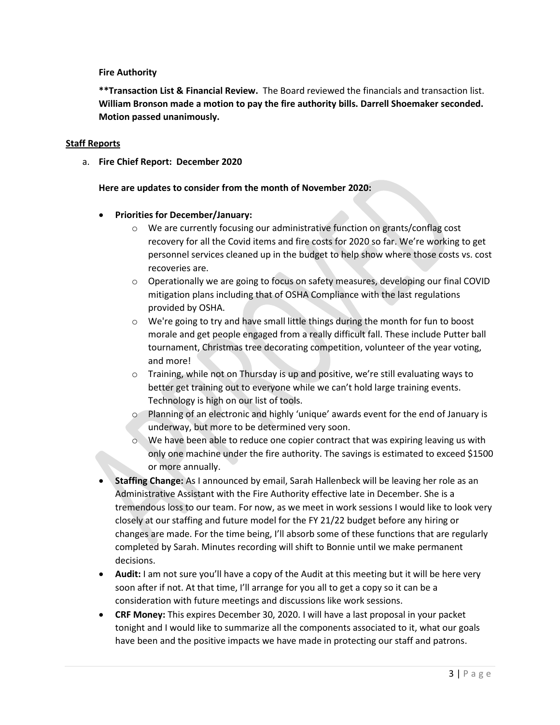# **Fire Authority**

**\*\*Transaction List & Financial Review.** The Board reviewed the financials and transaction list. **William Bronson made a motion to pay the fire authority bills. Darrell Shoemaker seconded. Motion passed unanimously.** 

## **Staff Reports**

a. **Fire Chief Report: December 2020**

# **Here are updates to consider from the month of November 2020:**

# • **Priorities for December/January:**

- o We are currently focusing our administrative function on grants/conflag cost recovery for all the Covid items and fire costs for 2020 so far. We're working to get personnel services cleaned up in the budget to help show where those costs vs. cost recoveries are.
- $\circ$  Operationally we are going to focus on safety measures, developing our final COVID mitigation plans including that of OSHA Compliance with the last regulations provided by OSHA.
- $\circ$  We're going to try and have small little things during the month for fun to boost morale and get people engaged from a really difficult fall. These include Putter ball tournament, Christmas tree decorating competition, volunteer of the year voting, and more!
- $\circ$  Training, while not on Thursday is up and positive, we're still evaluating ways to better get training out to everyone while we can't hold large training events. Technology is high on our list of tools.
- o Planning of an electronic and highly 'unique' awards event for the end of January is underway, but more to be determined very soon.
- $\circ$  We have been able to reduce one copier contract that was expiring leaving us with only one machine under the fire authority. The savings is estimated to exceed \$1500 or more annually.
- **Staffing Change:** As I announced by email, Sarah Hallenbeck will be leaving her role as an Administrative Assistant with the Fire Authority effective late in December. She is a tremendous loss to our team. For now, as we meet in work sessions I would like to look very closely at our staffing and future model for the FY 21/22 budget before any hiring or changes are made. For the time being, I'll absorb some of these functions that are regularly completed by Sarah. Minutes recording will shift to Bonnie until we make permanent decisions.
- **Audit:** I am not sure you'll have a copy of the Audit at this meeting but it will be here very soon after if not. At that time, I'll arrange for you all to get a copy so it can be a consideration with future meetings and discussions like work sessions.
- **CRF Money:** This expires December 30, 2020. I will have a last proposal in your packet tonight and I would like to summarize all the components associated to it, what our goals have been and the positive impacts we have made in protecting our staff and patrons.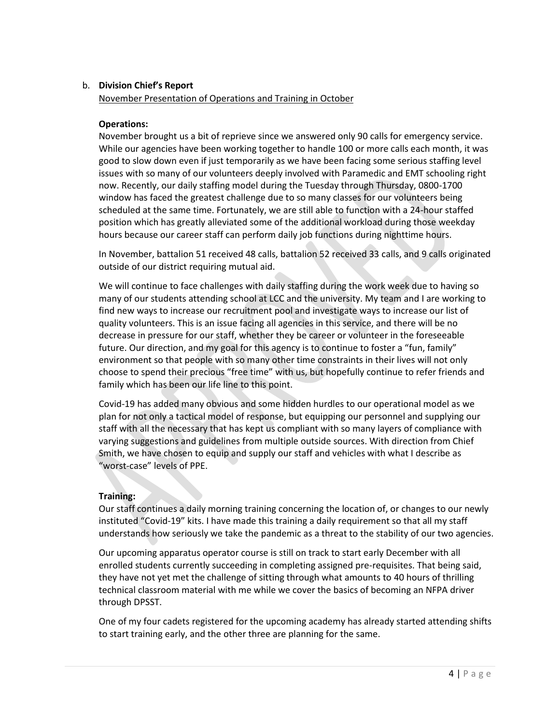# b. **Division Chief's Report**

# November Presentation of Operations and Training in October

# **Operations:**

November brought us a bit of reprieve since we answered only 90 calls for emergency service. While our agencies have been working together to handle 100 or more calls each month, it was good to slow down even if just temporarily as we have been facing some serious staffing level issues with so many of our volunteers deeply involved with Paramedic and EMT schooling right now. Recently, our daily staffing model during the Tuesday through Thursday, 0800-1700 window has faced the greatest challenge due to so many classes for our volunteers being scheduled at the same time. Fortunately, we are still able to function with a 24-hour staffed position which has greatly alleviated some of the additional workload during those weekday hours because our career staff can perform daily job functions during nighttime hours.

In November, battalion 51 received 48 calls, battalion 52 received 33 calls, and 9 calls originated outside of our district requiring mutual aid.

We will continue to face challenges with daily staffing during the work week due to having so many of our students attending school at LCC and the university. My team and I are working to find new ways to increase our recruitment pool and investigate ways to increase our list of quality volunteers. This is an issue facing all agencies in this service, and there will be no decrease in pressure for our staff, whether they be career or volunteer in the foreseeable future. Our direction, and my goal for this agency is to continue to foster a "fun, family" environment so that people with so many other time constraints in their lives will not only choose to spend their precious "free time" with us, but hopefully continue to refer friends and family which has been our life line to this point.

Covid-19 has added many obvious and some hidden hurdles to our operational model as we plan for not only a tactical model of response, but equipping our personnel and supplying our staff with all the necessary that has kept us compliant with so many layers of compliance with varying suggestions and guidelines from multiple outside sources. With direction from Chief Smith, we have chosen to equip and supply our staff and vehicles with what I describe as "worst-case" levels of PPE.

# **Training:**

Our staff continues a daily morning training concerning the location of, or changes to our newly instituted "Covid-19" kits. I have made this training a daily requirement so that all my staff understands how seriously we take the pandemic as a threat to the stability of our two agencies.

Our upcoming apparatus operator course is still on track to start early December with all enrolled students currently succeeding in completing assigned pre-requisites. That being said, they have not yet met the challenge of sitting through what amounts to 40 hours of thrilling technical classroom material with me while we cover the basics of becoming an NFPA driver through DPSST.

One of my four cadets registered for the upcoming academy has already started attending shifts to start training early, and the other three are planning for the same.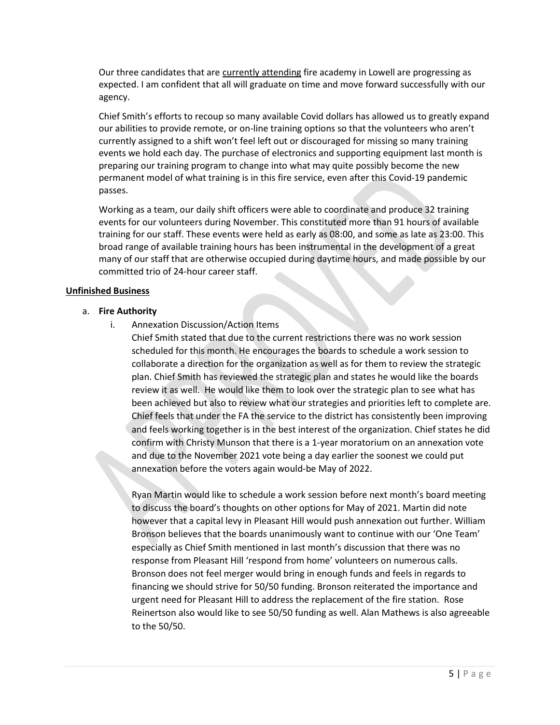Our three candidates that are currently attending fire academy in Lowell are progressing as expected. I am confident that all will graduate on time and move forward successfully with our agency.

Chief Smith's efforts to recoup so many available Covid dollars has allowed us to greatly expand our abilities to provide remote, or on-line training options so that the volunteers who aren't currently assigned to a shift won't feel left out or discouraged for missing so many training events we hold each day. The purchase of electronics and supporting equipment last month is preparing our training program to change into what may quite possibly become the new permanent model of what training is in this fire service, even after this Covid-19 pandemic passes.

Working as a team, our daily shift officers were able to coordinate and produce 32 training events for our volunteers during November. This constituted more than 91 hours of available training for our staff. These events were held as early as 08:00, and some as late as 23:00. This broad range of available training hours has been instrumental in the development of a great many of our staff that are otherwise occupied during daytime hours, and made possible by our committed trio of 24-hour career staff.

# **Unfinished Business**

### a. **Fire Authority**

- i. Annexation Discussion/Action Items
	- Chief Smith stated that due to the current restrictions there was no work session scheduled for this month. He encourages the boards to schedule a work session to collaborate a direction for the organization as well as for them to review the strategic plan. Chief Smith has reviewed the strategic plan and states he would like the boards review it as well. He would like them to look over the strategic plan to see what has been achieved but also to review what our strategies and priorities left to complete are. Chief feels that under the FA the service to the district has consistently been improving and feels working together is in the best interest of the organization. Chief states he did confirm with Christy Munson that there is a 1-year moratorium on an annexation vote and due to the November 2021 vote being a day earlier the soonest we could put annexation before the voters again would-be May of 2022.

Ryan Martin would like to schedule a work session before next month's board meeting to discuss the board's thoughts on other options for May of 2021. Martin did note however that a capital levy in Pleasant Hill would push annexation out further. William Bronson believes that the boards unanimously want to continue with our 'One Team' especially as Chief Smith mentioned in last month's discussion that there was no response from Pleasant Hill 'respond from home' volunteers on numerous calls. Bronson does not feel merger would bring in enough funds and feels in regards to financing we should strive for 50/50 funding. Bronson reiterated the importance and urgent need for Pleasant Hill to address the replacement of the fire station. Rose Reinertson also would like to see 50/50 funding as well. Alan Mathews is also agreeable to the 50/50.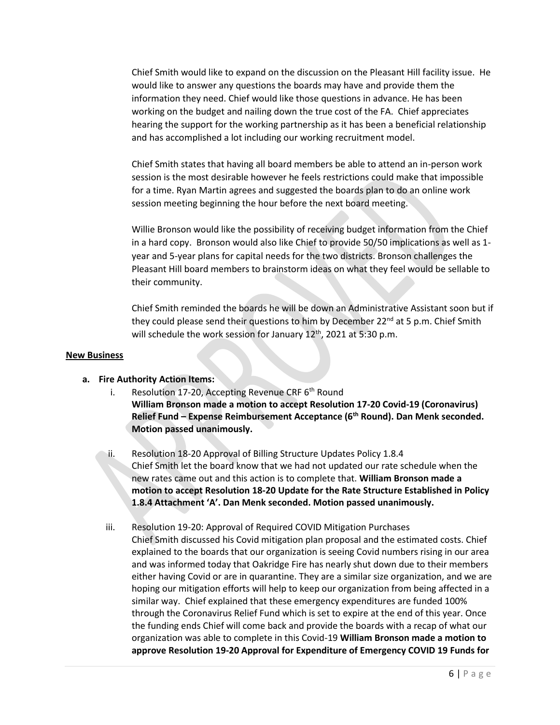Chief Smith would like to expand on the discussion on the Pleasant Hill facility issue. He would like to answer any questions the boards may have and provide them the information they need. Chief would like those questions in advance. He has been working on the budget and nailing down the true cost of the FA. Chief appreciates hearing the support for the working partnership as it has been a beneficial relationship and has accomplished a lot including our working recruitment model.

Chief Smith states that having all board members be able to attend an in-person work session is the most desirable however he feels restrictions could make that impossible for a time. Ryan Martin agrees and suggested the boards plan to do an online work session meeting beginning the hour before the next board meeting.

Willie Bronson would like the possibility of receiving budget information from the Chief in a hard copy. Bronson would also like Chief to provide 50/50 implications as well as 1 year and 5-year plans for capital needs for the two districts. Bronson challenges the Pleasant Hill board members to brainstorm ideas on what they feel would be sellable to their community.

Chief Smith reminded the boards he will be down an Administrative Assistant soon but if they could please send their questions to him by December 22<sup>nd</sup> at 5 p.m. Chief Smith will schedule the work session for January  $12<sup>th</sup>$ , 2021 at 5:30 p.m.

#### **New Business**

- **a. Fire Authority Action Items:**
	- i. Resolution 17-20, Accepting Revenue CRF  $6<sup>th</sup>$  Round **William Bronson made a motion to accept Resolution 17-20 Covid-19 (Coronavirus) Relief Fund – Expense Reimbursement Acceptance (6th Round). Dan Menk seconded. Motion passed unanimously.**
	- ii. Resolution 18-20 Approval of Billing Structure Updates Policy 1.8.4 Chief Smith let the board know that we had not updated our rate schedule when the new rates came out and this action is to complete that. **William Bronson made a motion to accept Resolution 18-20 Update for the Rate Structure Established in Policy 1.8.4 Attachment 'A'. Dan Menk seconded. Motion passed unanimously.**
	- iii. Resolution 19-20: Approval of Required COVID Mitigation Purchases Chief Smith discussed his Covid mitigation plan proposal and the estimated costs. Chief explained to the boards that our organization is seeing Covid numbers rising in our area and was informed today that Oakridge Fire has nearly shut down due to their members either having Covid or are in quarantine. They are a similar size organization, and we are hoping our mitigation efforts will help to keep our organization from being affected in a similar way. Chief explained that these emergency expenditures are funded 100% through the Coronavirus Relief Fund which is set to expire at the end of this year. Once the funding ends Chief will come back and provide the boards with a recap of what our organization was able to complete in this Covid-19 **William Bronson made a motion to approve Resolution 19-20 Approval for Expenditure of Emergency COVID 19 Funds for**